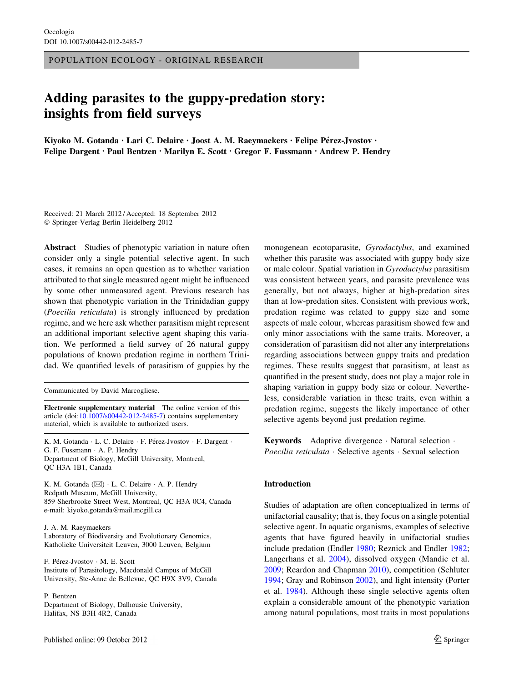<span id="page-0-0"></span>POPULATION ECOLOGY - ORIGINAL RESEARCH

# Adding parasites to the guppy-predation story: insights from field surveys

Kiyoko M. Gotanda · Lari C. Delaire · Joost A. M. Raeymaekers · Felipe Pérez-Jvostov · Felipe Dargent • Paul Bentzen • Marilyn E. Scott • Gregor F. Fussmann • Andrew P. Hendry

Received: 21 March 2012 / Accepted: 18 September 2012 - Springer-Verlag Berlin Heidelberg 2012

Abstract Studies of phenotypic variation in nature often consider only a single potential selective agent. In such cases, it remains an open question as to whether variation attributed to that single measured agent might be influenced by some other unmeasured agent. Previous research has shown that phenotypic variation in the Trinidadian guppy (Poecilia reticulata) is strongly influenced by predation regime, and we here ask whether parasitism might represent an additional important selective agent shaping this variation. We performed a field survey of 26 natural guppy populations of known predation regime in northern Trinidad. We quantified levels of parasitism of guppies by the

Communicated by David Marcogliese.

Electronic supplementary material The online version of this article  $(doi:10.1007/s00442-012-2485-7)$  $(doi:10.1007/s00442-012-2485-7)$  contains supplementary material, which is available to authorized users.

K. M. Gotanda · L. C. Delaire · F. Pérez-Jvostov · F. Dargent · G. F. Fussmann - A. P. Hendry Department of Biology, McGill University, Montreal, QC H3A 1B1, Canada

K. M. Gotanda (⊠) · L. C. Delaire · A. P. Hendry Redpath Museum, McGill University, 859 Sherbrooke Street West, Montreal, QC H3A 0C4, Canada e-mail: kiyoko.gotanda@mail.mcgill.ca

J. A. M. Raeymaekers Laboratory of Biodiversity and Evolutionary Genomics, Katholieke Universiteit Leuven, 3000 Leuven, Belgium

F. Pérez-Jvostov · M. E. Scott Institute of Parasitology, Macdonald Campus of McGill University, Ste-Anne de Bellevue, QC H9X 3V9, Canada

P. Bentzen Department of Biology, Dalhousie University, Halifax, NS B3H 4R2, Canada

monogenean ecotoparasite, Gyrodactylus, and examined whether this parasite was associated with guppy body size or male colour. Spatial variation in Gyrodactylus parasitism was consistent between years, and parasite prevalence was generally, but not always, higher at high-predation sites than at low-predation sites. Consistent with previous work, predation regime was related to guppy size and some aspects of male colour, whereas parasitism showed few and only minor associations with the same traits. Moreover, a consideration of parasitism did not alter any interpretations regarding associations between guppy traits and predation regimes. These results suggest that parasitism, at least as quantified in the present study, does not play a major role in shaping variation in guppy body size or colour. Nevertheless, considerable variation in these traits, even within a predation regime, suggests the likely importance of other selective agents beyond just predation regime.

Keywords Adaptive divergence - Natural selection - Poecilia reticulata · Selective agents · Sexual selection

# Introduction

Studies of adaptation are often conceptualized in terms of unifactorial causality; that is, they focus on a single potential selective agent. In aquatic organisms, examples of selective agents that have figured heavily in unifactorial studies include predation (Endler [1980;](#page-10-0) Reznick and Endler [1982](#page-10-0); Langerhans et al. [2004](#page-10-0)), dissolved oxygen (Mandic et al. [2009](#page-10-0); Reardon and Chapman [2010\)](#page-10-0), competition (Schluter [1994](#page-11-0); Gray and Robinson [2002](#page-10-0)), and light intensity (Porter et al. [1984](#page-10-0)). Although these single selective agents often explain a considerable amount of the phenotypic variation among natural populations, most traits in most populations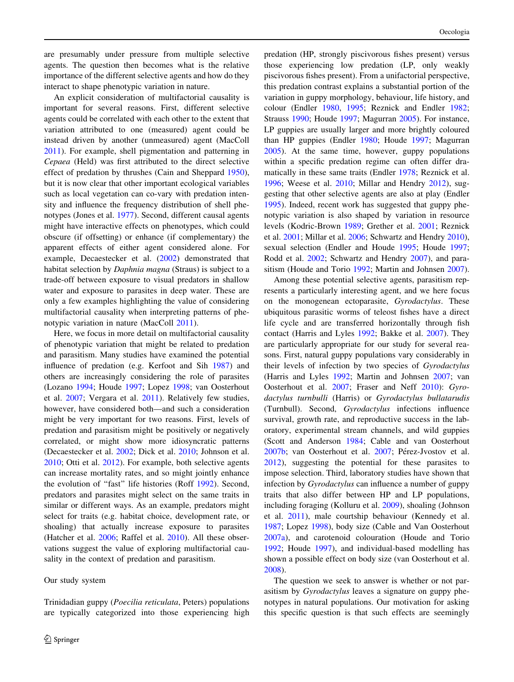are presumably under pressure from multiple selective agents. The question then becomes what is the relative importance of the different selective agents and how do they interact to shape phenotypic variation in nature.

An explicit consideration of multifactorial causality is important for several reasons. First, different selective agents could be correlated with each other to the extent that variation attributed to one (measured) agent could be instead driven by another (unmeasured) agent (MacColl [2011\)](#page-10-0). For example, shell pigmentation and patterning in Cepaea (Held) was first attributed to the direct selective effect of predation by thrushes (Cain and Sheppard [1950](#page-9-0)), but it is now clear that other important ecological variables such as local vegetation can co-vary with predation intensity and influence the frequency distribution of shell phenotypes (Jones et al. [1977](#page-10-0)). Second, different causal agents might have interactive effects on phenotypes, which could obscure (if offsetting) or enhance (if complementary) the apparent effects of either agent considered alone. For example, Decaestecker et al. ([2002\)](#page-9-0) demonstrated that habitat selection by *Daphnia magna* (Straus) is subject to a trade-off between exposure to visual predators in shallow water and exposure to parasites in deep water. These are only a few examples highlighting the value of considering multifactorial causality when interpreting patterns of phenotypic variation in nature (MacColl [2011\)](#page-10-0).

Here, we focus in more detail on multifactorial causality of phenotypic variation that might be related to predation and parasitism. Many studies have examined the potential influence of predation (e.g. Kerfoot and Sih [1987](#page-10-0)) and others are increasingly considering the role of parasites (Lozano [1994](#page-10-0); Houde [1997;](#page-10-0) Lopez [1998](#page-10-0); van Oosterhout et al. [2007](#page-11-0); Vergara et al. [2011\)](#page-11-0). Relatively few studies, however, have considered both—and such a consideration might be very important for two reasons. First, levels of predation and parasitism might be positively or negatively correlated, or might show more idiosyncratic patterns (Decaestecker et al. [2002;](#page-9-0) Dick et al. [2010;](#page-9-0) Johnson et al. [2010;](#page-10-0) Otti et al. [2012\)](#page-10-0). For example, both selective agents can increase mortality rates, and so might jointly enhance the evolution of ''fast'' life histories (Roff [1992\)](#page-11-0). Second, predators and parasites might select on the same traits in similar or different ways. As an example, predators might select for traits (e.g. habitat choice, development rate, or shoaling) that actually increase exposure to parasites (Hatcher et al. [2006](#page-10-0); Raffel et al. [2010\)](#page-10-0). All these observations suggest the value of exploring multifactorial causality in the context of predation and parasitism.

# Our study system

Trinidadian guppy (Poecilia reticulata, Peters) populations are typically categorized into those experiencing high predation (HP, strongly piscivorous fishes present) versus those experiencing low predation (LP, only weakly piscivorous fishes present). From a unifactorial perspective, this predation contrast explains a substantial portion of the variation in guppy morphology, behaviour, life history, and colour (Endler [1980](#page-10-0), [1995;](#page-10-0) Reznick and Endler [1982](#page-10-0); Strauss [1990](#page-11-0); Houde [1997](#page-10-0); Magurran [2005\)](#page-10-0). For instance, LP guppies are usually larger and more brightly coloured than HP guppies (Endler [1980](#page-10-0); Houde [1997;](#page-10-0) Magurran [2005](#page-10-0)). At the same time, however, guppy populations within a specific predation regime can often differ dramatically in these same traits (Endler [1978;](#page-10-0) Reznick et al. [1996](#page-10-0); Weese et al. [2010;](#page-11-0) Millar and Hendry [2012](#page-10-0)), suggesting that other selective agents are also at play (Endler [1995](#page-10-0)). Indeed, recent work has suggested that guppy phenotypic variation is also shaped by variation in resource levels (Kodric-Brown [1989;](#page-10-0) Grether et al. [2001;](#page-10-0) Reznick et al. [2001](#page-11-0); Millar et al. [2006;](#page-10-0) Schwartz and Hendry [2010](#page-11-0)), sexual selection (Endler and Houde [1995](#page-10-0); Houde [1997](#page-10-0); Rodd et al. [2002](#page-11-0); Schwartz and Hendry [2007\)](#page-11-0), and parasitism (Houde and Torio [1992](#page-10-0); Martin and Johnsen [2007](#page-10-0)).

Among these potential selective agents, parasitism represents a particularly interesting agent, and we here focus on the monogenean ectoparasite, Gyrodactylus. These ubiquitous parasitic worms of teleost fishes have a direct life cycle and are transferred horizontally through fish contact (Harris and Lyles [1992](#page-10-0); Bakke et al. [2007](#page-9-0)). They are particularly appropriate for our study for several reasons. First, natural guppy populations vary considerably in their levels of infection by two species of Gyrodactylus (Harris and Lyles [1992;](#page-10-0) Martin and Johnsen [2007](#page-10-0); van Oosterhout et al. [2007;](#page-11-0) Fraser and Neff [2010\)](#page-10-0): Gyrodactylus turnbulli (Harris) or Gyrodactylus bullatarudis (Turnbull). Second, Gyrodactylus infections influence survival, growth rate, and reproductive success in the laboratory, experimental stream channels, and wild guppies (Scott and Anderson [1984](#page-11-0); Cable and van Oosterhout [2007b](#page-9-0); van Oosterhout et al. [2007;](#page-11-0) Pérez-Jvostov et al. [2012](#page-10-0)), suggesting the potential for these parasites to impose selection. Third, laboratory studies have shown that infection by Gyrodactylus can influence a number of guppy traits that also differ between HP and LP populations, including foraging (Kolluru et al. [2009](#page-10-0)), shoaling (Johnson et al. [2011\)](#page-10-0), male courtship behaviour (Kennedy et al. [1987](#page-10-0); Lopez [1998\)](#page-10-0), body size (Cable and Van Oosterhout [2007a\)](#page-9-0), and carotenoid colouration (Houde and Torio [1992](#page-10-0); Houde [1997\)](#page-10-0), and individual-based modelling has shown a possible effect on body size (van Oosterhout et al. [2008](#page-11-0)).

The question we seek to answer is whether or not parasitism by Gyrodactylus leaves a signature on guppy phenotypes in natural populations. Our motivation for asking this specific question is that such effects are seemingly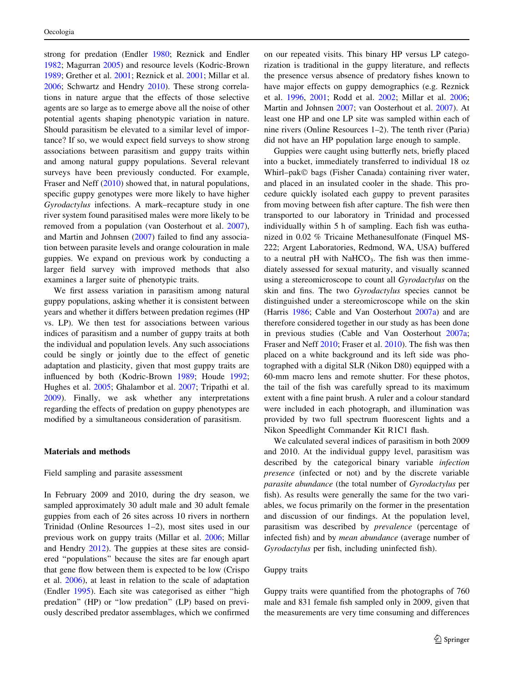strong for predation (Endler [1980](#page-10-0); Reznick and Endler [1982;](#page-10-0) Magurran [2005\)](#page-10-0) and resource levels (Kodric-Brown [1989;](#page-10-0) Grether et al. [2001](#page-10-0); Reznick et al. [2001](#page-11-0); Millar et al. [2006;](#page-10-0) Schwartz and Hendry [2010](#page-11-0)). These strong correlations in nature argue that the effects of those selective agents are so large as to emerge above all the noise of other potential agents shaping phenotypic variation in nature. Should parasitism be elevated to a similar level of importance? If so, we would expect field surveys to show strong associations between parasitism and guppy traits within and among natural guppy populations. Several relevant surveys have been previously conducted. For example, Fraser and Neff ([2010\)](#page-10-0) showed that, in natural populations, specific guppy genotypes were more likely to have higher Gyrodactylus infections. A mark–recapture study in one river system found parasitised males were more likely to be removed from a population (van Oosterhout et al. [2007](#page-11-0)), and Martin and Johnsen [\(2007](#page-10-0)) failed to find any association between parasite levels and orange colouration in male guppies. We expand on previous work by conducting a larger field survey with improved methods that also examines a larger suite of phenotypic traits.

We first assess variation in parasitism among natural guppy populations, asking whether it is consistent between years and whether it differs between predation regimes (HP vs. LP). We then test for associations between various indices of parasitism and a number of guppy traits at both the individual and population levels. Any such associations could be singly or jointly due to the effect of genetic adaptation and plasticity, given that most guppy traits are influenced by both (Kodric-Brown [1989](#page-10-0); Houde [1992](#page-10-0); Hughes et al. [2005;](#page-10-0) Ghalambor et al. [2007;](#page-10-0) Tripathi et al. [2009\)](#page-11-0). Finally, we ask whether any interpretations regarding the effects of predation on guppy phenotypes are modified by a simultaneous consideration of parasitism.

# Materials and methods

# Field sampling and parasite assessment

In February 2009 and 2010, during the dry season, we sampled approximately 30 adult male and 30 adult female guppies from each of 26 sites across 10 rivers in northern Trinidad (Online Resources 1–2), most sites used in our previous work on guppy traits (Millar et al. [2006](#page-10-0); Millar and Hendry [2012\)](#page-10-0). The guppies at these sites are considered ''populations'' because the sites are far enough apart that gene flow between them is expected to be low (Crispo et al. [2006](#page-9-0)), at least in relation to the scale of adaptation (Endler [1995](#page-10-0)). Each site was categorised as either ''high predation'' (HP) or ''low predation'' (LP) based on previously described predator assemblages, which we confirmed on our repeated visits. This binary HP versus LP categorization is traditional in the guppy literature, and reflects the presence versus absence of predatory fishes known to have major effects on guppy demographics (e.g. Reznick et al. [1996](#page-10-0), [2001](#page-11-0); Rodd et al. [2002;](#page-11-0) Millar et al. [2006](#page-10-0); Martin and Johnsen [2007;](#page-10-0) van Oosterhout et al. [2007](#page-11-0)). At least one HP and one LP site was sampled within each of nine rivers (Online Resources 1–2). The tenth river (Paria) did not have an HP population large enough to sample.

Guppies were caught using butterfly nets, briefly placed into a bucket, immediately transferred to individual 18 oz Whirl-pak© bags (Fisher Canada) containing river water, and placed in an insulated cooler in the shade. This procedure quickly isolated each guppy to prevent parasites from moving between fish after capture. The fish were then transported to our laboratory in Trinidad and processed individually within 5 h of sampling. Each fish was euthanized in 0.02 % Tricaine Methanesulfonate (Finquel MS-222; Argent Laboratories, Redmond, WA, USA) buffered to a neutral pH with  $NaHCO<sub>3</sub>$ . The fish was then immediately assessed for sexual maturity, and visually scanned using a stereomicroscope to count all Gyrodactylus on the skin and fins. The two Gyrodactylus species cannot be distinguished under a stereomicroscope while on the skin (Harris [1986;](#page-10-0) Cable and Van Oosterhout [2007a\)](#page-9-0) and are therefore considered together in our study as has been done in previous studies (Cable and Van Oosterhout [2007a](#page-9-0); Fraser and Neff [2010](#page-10-0); Fraser et al. [2010\)](#page-10-0). The fish was then placed on a white background and its left side was photographed with a digital SLR (Nikon D80) equipped with a 60-mm macro lens and remote shutter. For these photos, the tail of the fish was carefully spread to its maximum extent with a fine paint brush. A ruler and a colour standard were included in each photograph, and illumination was provided by two full spectrum fluorescent lights and a Nikon Speedlight Commander Kit R1C1 flash.

We calculated several indices of parasitism in both 2009 and 2010. At the individual guppy level, parasitism was described by the categorical binary variable infection presence (infected or not) and by the discrete variable parasite abundance (the total number of Gyrodactylus per fish). As results were generally the same for the two variables, we focus primarily on the former in the presentation and discussion of our findings. At the population level, parasitism was described by prevalence (percentage of infected fish) and by mean abundance (average number of Gyrodactylus per fish, including uninfected fish).

#### Guppy traits

Guppy traits were quantified from the photographs of 760 male and 831 female fish sampled only in 2009, given that the measurements are very time consuming and differences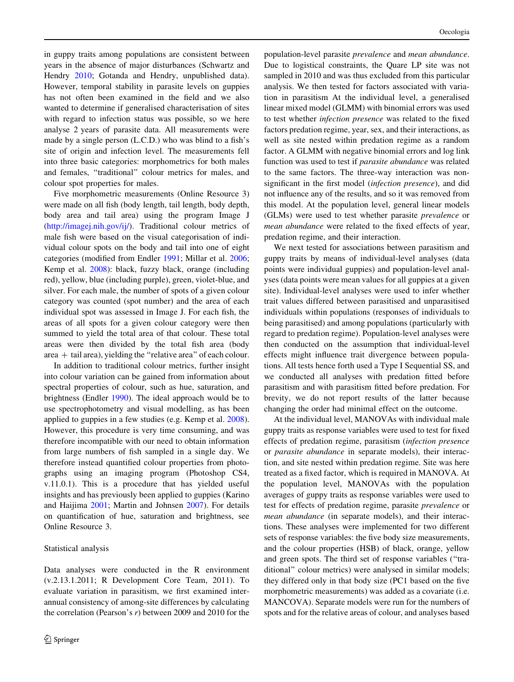in guppy traits among populations are consistent between years in the absence of major disturbances (Schwartz and Hendry [2010](#page-11-0); Gotanda and Hendry, unpublished data). However, temporal stability in parasite levels on guppies has not often been examined in the field and we also wanted to determine if generalised characterisation of sites with regard to infection status was possible, so we here analyse 2 years of parasite data. All measurements were made by a single person (L.C.D.) who was blind to a fish's site of origin and infection level. The measurements fell into three basic categories: morphometrics for both males and females, ''traditional'' colour metrics for males, and colour spot properties for males.

Five morphometric measurements (Online Resource 3) were made on all fish (body length, tail length, body depth, body area and tail area) using the program Image J [\(http://imagej.nih.gov/ij/\)](http://imagej.nih.gov/ij/). Traditional colour metrics of male fish were based on the visual categorisation of individual colour spots on the body and tail into one of eight categories (modified from Endler [1991](#page-10-0); Millar et al. [2006](#page-10-0); Kemp et al. [2008](#page-10-0)): black, fuzzy black, orange (including red), yellow, blue (including purple), green, violet-blue, and silver. For each male, the number of spots of a given colour category was counted (spot number) and the area of each individual spot was assessed in Image J. For each fish, the areas of all spots for a given colour category were then summed to yield the total area of that colour. These total areas were then divided by the total fish area (body  $area + tail area$ , yielding the "relative area" of each colour.

In addition to traditional colour metrics, further insight into colour variation can be gained from information about spectral properties of colour, such as hue, saturation, and brightness (Endler [1990\)](#page-10-0). The ideal approach would be to use spectrophotometry and visual modelling, as has been applied to guppies in a few studies (e.g. Kemp et al. [2008](#page-10-0)). However, this procedure is very time consuming, and was therefore incompatible with our need to obtain information from large numbers of fish sampled in a single day. We therefore instead quantified colour properties from photographs using an imaging program (Photoshop CS4, v.11.0.1). This is a procedure that has yielded useful insights and has previously been applied to guppies (Karino and Haijima [2001](#page-10-0); Martin and Johnsen [2007](#page-10-0)). For details on quantification of hue, saturation and brightness, see Online Resource 3.

## Statistical analysis

Data analyses were conducted in the R environment (v.2.13.1.2011; R Development Core Team, 2011). To evaluate variation in parasitism, we first examined interannual consistency of among-site differences by calculating the correlation (Pearson's  $r$ ) between 2009 and 2010 for the population-level parasite prevalence and mean abundance. Due to logistical constraints, the Quare LP site was not sampled in 2010 and was thus excluded from this particular analysis. We then tested for factors associated with variation in parasitism At the individual level, a generalised linear mixed model (GLMM) with binomial errors was used to test whether infection presence was related to the fixed factors predation regime, year, sex, and their interactions, as well as site nested within predation regime as a random factor. A GLMM with negative binomial errors and log link function was used to test if parasite abundance was related to the same factors. The three-way interaction was nonsignificant in the first model (infection presence), and did not influence any of the results, and so it was removed from this model. At the population level, general linear models (GLMs) were used to test whether parasite prevalence or mean abundance were related to the fixed effects of year, predation regime, and their interaction.

We next tested for associations between parasitism and guppy traits by means of individual-level analyses (data points were individual guppies) and population-level analyses (data points were mean values for all guppies at a given site). Individual-level analyses were used to infer whether trait values differed between parasitised and unparasitised individuals within populations (responses of individuals to being parasitised) and among populations (particularly with regard to predation regime). Population-level analyses were then conducted on the assumption that individual-level effects might influence trait divergence between populations. All tests hence forth used a Type I Sequential SS, and we conducted all analyses with predation fitted before parasitism and with parasitism fitted before predation. For brevity, we do not report results of the latter because changing the order had minimal effect on the outcome.

At the individual level, MANOVAs with individual male guppy traits as response variables were used to test for fixed effects of predation regime, parasitism (infection presence or parasite abundance in separate models), their interaction, and site nested within predation regime. Site was here treated as a fixed factor, which is required in MANOVA. At the population level, MANOVAs with the population averages of guppy traits as response variables were used to test for effects of predation regime, parasite prevalence or mean abundance (in separate models), and their interactions. These analyses were implemented for two different sets of response variables: the five body size measurements, and the colour properties (HSB) of black, orange, yellow and green spots. The third set of response variables (''traditional'' colour metrics) were analysed in similar models; they differed only in that body size (PC1 based on the five morphometric measurements) was added as a covariate (i.e. MANCOVA). Separate models were run for the numbers of spots and for the relative areas of colour, and analyses based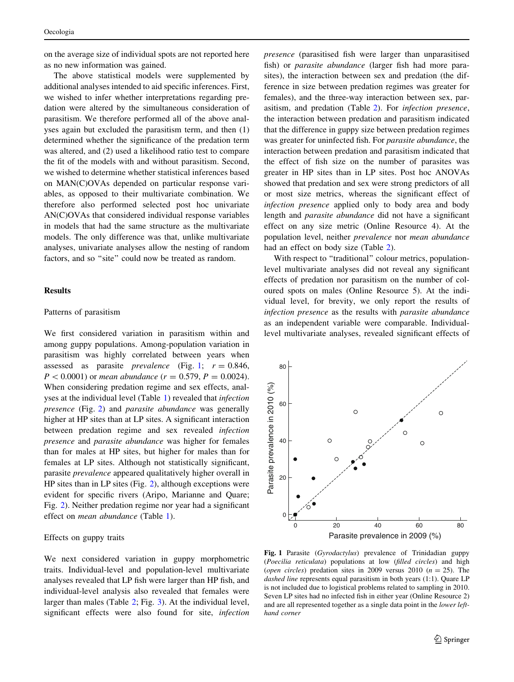on the average size of individual spots are not reported here as no new information was gained.

The above statistical models were supplemented by additional analyses intended to aid specific inferences. First, we wished to infer whether interpretations regarding predation were altered by the simultaneous consideration of parasitism. We therefore performed all of the above analyses again but excluded the parasitism term, and then (1) determined whether the significance of the predation term was altered, and (2) used a likelihood ratio test to compare the fit of the models with and without parasitism. Second, we wished to determine whether statistical inferences based on MAN(C)OVAs depended on particular response variables, as opposed to their multivariate combination. We therefore also performed selected post hoc univariate AN(C)OVAs that considered individual response variables in models that had the same structure as the multivariate models. The only difference was that, unlike multivariate analyses, univariate analyses allow the nesting of random factors, and so "site" could now be treated as random.

# **Results**

# Patterns of parasitism

We first considered variation in parasitism within and among guppy populations. Among-population variation in parasitism was highly correlated between years when assessed as parasite *prevalence* (Fig. 1;  $r = 0.846$ ,  $P < 0.0001$ ) or mean abundance ( $r = 0.579$ ,  $P = 0.0024$ ). When considering predation regime and sex effects, analyses at the individual level (Table [1](#page-5-0)) revealed that infection presence (Fig. [2\)](#page-5-0) and parasite abundance was generally higher at HP sites than at LP sites. A significant interaction between predation regime and sex revealed infection presence and parasite abundance was higher for females than for males at HP sites, but higher for males than for females at LP sites. Although not statistically significant, parasite prevalence appeared qualitatively higher overall in HP sites than in LP sites (Fig. [2](#page-5-0)), although exceptions were evident for specific rivers (Aripo, Marianne and Quare; Fig. [2](#page-5-0)). Neither predation regime nor year had a significant effect on mean abundance (Table [1](#page-5-0)).

#### Effects on guppy traits

We next considered variation in guppy morphometric traits. Individual-level and population-level multivariate analyses revealed that LP fish were larger than HP fish, and individual-level analysis also revealed that females were larger than males (Table [2;](#page-6-0) Fig. [3](#page-6-0)). At the individual level, significant effects were also found for site, infection presence (parasitised fish were larger than unparasitised fish) or parasite abundance (larger fish had more parasites), the interaction between sex and predation (the difference in size between predation regimes was greater for females), and the three-way interaction between sex, parasitism, and predation (Table [2\)](#page-6-0). For infection presence, the interaction between predation and parasitism indicated that the difference in guppy size between predation regimes was greater for uninfected fish. For parasite abundance, the interaction between predation and parasitism indicated that the effect of fish size on the number of parasites was greater in HP sites than in LP sites. Post hoc ANOVAs showed that predation and sex were strong predictors of all or most size metrics, whereas the significant effect of infection presence applied only to body area and body length and parasite abundance did not have a significant effect on any size metric (Online Resource 4). At the population level, neither prevalence nor mean abundance had an effect on body size (Table [2\)](#page-6-0).

With respect to "traditional" colour metrics, populationlevel multivariate analyses did not reveal any significant effects of predation nor parasitism on the number of coloured spots on males (Online Resource 5). At the individual level, for brevity, we only report the results of infection presence as the results with parasite abundance as an independent variable were comparable. Individuallevel multivariate analyses, revealed significant effects of



Fig. 1 Parasite (Gyrodactylus) prevalence of Trinidadian guppy (Poecilia reticulata) populations at low (filled circles) and high (*open circles*) predation sites in 2009 versus 2010 ( $n = 25$ ). The dashed line represents equal parasitism in both years (1:1). Quare LP is not included due to logistical problems related to sampling in 2010. Seven LP sites had no infected fish in either year (Online Resource 2) and are all represented together as a single data point in the lower lefthand corner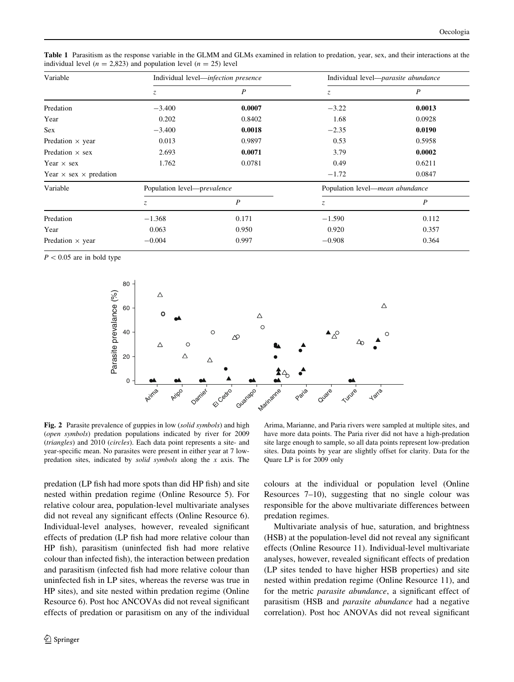<span id="page-5-0"></span>Table 1 Parasitism as the response variable in the GLMM and GLMs examined in relation to predation, year, sex, and their interactions at the individual level ( $n = 2.823$ ) and population level ( $n = 25$ ) level

| Variable                             | Individual level—infection presence |        | Individual level-parasite abundance |        |  |
|--------------------------------------|-------------------------------------|--------|-------------------------------------|--------|--|
|                                      | Z.                                  | P      | Z.                                  | P      |  |
| Predation                            | $-3.400$                            | 0.0007 | $-3.22$                             | 0.0013 |  |
| Year                                 | 0.202                               | 0.8402 | 1.68                                | 0.0928 |  |
| <b>Sex</b>                           | $-3.400$                            | 0.0018 | $-2.35$                             | 0.0190 |  |
| Predation $\times$ year              | 0.013                               | 0.9897 | 0.53                                | 0.5958 |  |
| Predation $\times$ sex               | 2.693                               | 0.0071 | 3.79                                | 0.0002 |  |
| Year $\times$ sex                    | 1.762                               | 0.0781 | 0.49                                | 0.6211 |  |
| Year $\times$ sex $\times$ predation |                                     |        | $-1.72$                             | 0.0847 |  |
| Variable                             | Population level—prevalence         |        | Population level—mean abundance     |        |  |
|                                      | Z.                                  | P      | z                                   | P      |  |
| Predation                            | $-1.368$                            | 0.171  | $-1.590$                            | 0.112  |  |
| Year                                 | 0.063                               | 0.950  | 0.920                               | 0.357  |  |
| Predation $\times$ year              | $-0.004$                            | 0.997  | $-0.908$                            | 0.364  |  |

 $P < 0.05$  are in bold type



Fig. 2 Parasite prevalence of guppies in low (solid symbols) and high (open symbols) predation populations indicated by river for 2009 (triangles) and 2010 (circles). Each data point represents a site- and year-specific mean. No parasites were present in either year at 7 lowpredation sites, indicated by *solid symbols* along the  $x$  axis. The

Arima, Marianne, and Paria rivers were sampled at multiple sites, and have more data points. The Paria river did not have a high-predation site large enough to sample, so all data points represent low-predation sites. Data points by year are slightly offset for clarity. Data for the Quare LP is for 2009 only

predation (LP fish had more spots than did HP fish) and site nested within predation regime (Online Resource 5). For relative colour area, population-level multivariate analyses did not reveal any significant effects (Online Resource 6). Individual-level analyses, however, revealed significant effects of predation (LP fish had more relative colour than HP fish), parasitism (uninfected fish had more relative colour than infected fish), the interaction between predation and parasitism (infected fish had more relative colour than uninfected fish in LP sites, whereas the reverse was true in HP sites), and site nested within predation regime (Online Resource 6). Post hoc ANCOVAs did not reveal significant effects of predation or parasitism on any of the individual colours at the individual or population level (Online Resources 7–10), suggesting that no single colour was responsible for the above multivariate differences between predation regimes.

Multivariate analysis of hue, saturation, and brightness (HSB) at the population-level did not reveal any significant effects (Online Resource 11). Individual-level multivariate analyses, however, revealed significant effects of predation (LP sites tended to have higher HSB properties) and site nested within predation regime (Online Resource 11), and for the metric parasite abundance, a significant effect of parasitism (HSB and parasite abundance had a negative correlation). Post hoc ANOVAs did not reveal significant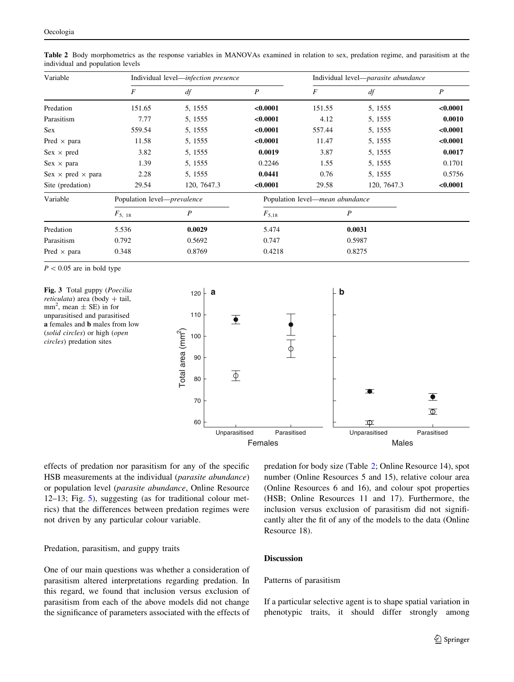| Variable                      | Individual level—infection presence |             |                                 | Individual level— <i>parasite abundance</i> |             |                  |
|-------------------------------|-------------------------------------|-------------|---------------------------------|---------------------------------------------|-------------|------------------|
|                               | F                                   | df          | $\boldsymbol{P}$                | $\boldsymbol{F}$                            | df          | $\boldsymbol{P}$ |
| Predation                     | 151.65                              | 5, 1555     | < 0.0001                        | 151.55                                      | 5, 1555     | < 0.0001         |
| Parasitism                    | 7.77                                | 5, 1555     | < 0.0001                        | 4.12                                        | 5, 1555     | 0.0010           |
| Sex                           | 559.54                              | 5, 1555     | < 0.0001                        | 557.44                                      | 5, 1555     | < 0.0001         |
| Pred $\times$ para            | 11.58                               | 5, 1555     | < 0.0001                        | 11.47                                       | 5, 1555     | < 0.0001         |
| $Sex \times pred$             | 3.82                                | 5, 1555     | 0.0019                          | 3.87                                        | 5, 1555     | 0.0017           |
| $Sex \times para$             | 1.39                                | 5, 1555     | 0.2246                          | 1.55                                        | 5, 1555     | 0.1701           |
| $Sex \times pred \times para$ | 2.28                                | 5, 1555     | 0.0441                          | 0.76                                        | 5, 1555     | 0.5756           |
| Site (predation)              | 29.54                               | 120, 7647.3 | < 0.0001                        | 29.58                                       | 120, 7647.3 | < 0.0001         |
| Variable                      | Population level-prevalence         |             | Population level—mean abundance |                                             |             |                  |
|                               | $F_{5, 18}$                         | P           | $F_{5,18}$                      |                                             | P           |                  |
| Predation                     | 5.536                               | 0.0029      | 5.474                           |                                             | 0.0031      |                  |
| Parasitism                    | 0.792                               | 0.5692      | 0.747                           |                                             | 0.5987      |                  |
| Pred $\times$ para            | 0.348                               | 0.8769      | 0.4218                          |                                             | 0.8275      |                  |

<span id="page-6-0"></span>Table 2 Body morphometrics as the response variables in MANOVAs examined in relation to sex, predation regime, and parasitism at the individual and population levels

 $P < 0.05$  are in bold type

 $reliculata)$  area (body + tail,  $mm<sup>2</sup>$ , mean  $\pm$  SE) in for unparasitised and parasitised a females and b males from low (solid circles) or high (open circles) predation sites



effects of predation nor parasitism for any of the specific HSB measurements at the individual (parasite abundance) or population level (parasite abundance, Online Resource 12–13; Fig. [5](#page-9-0)), suggesting (as for traditional colour metrics) that the differences between predation regimes were not driven by any particular colour variable.

Predation, parasitism, and guppy traits

One of our main questions was whether a consideration of parasitism altered interpretations regarding predation. In this regard, we found that inclusion versus exclusion of parasitism from each of the above models did not change the significance of parameters associated with the effects of predation for body size (Table 2; Online Resource 14), spot number (Online Resources 5 and 15), relative colour area (Online Resources 6 and 16), and colour spot properties (HSB; Online Resources 11 and 17). Furthermore, the inclusion versus exclusion of parasitism did not significantly alter the fit of any of the models to the data (Online Resource 18).

# Discussion

# Patterns of parasitism

If a particular selective agent is to shape spatial variation in phenotypic traits, it should differ strongly among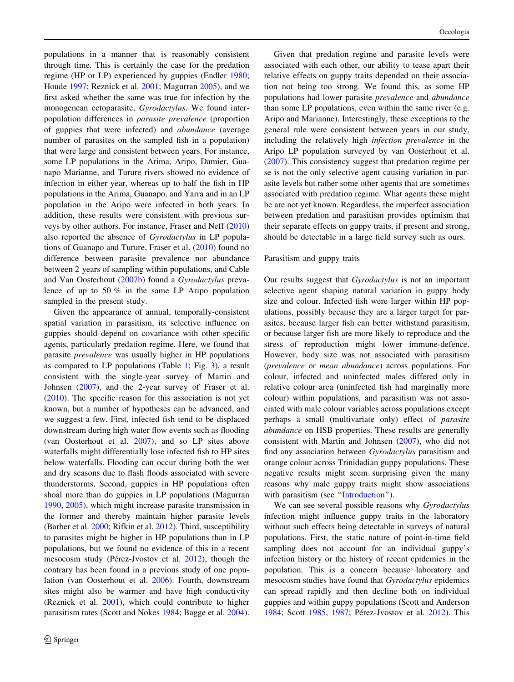populations in a manner that is reasonably consistent through time. This is certainly the case for the predation regime (HP or LP) experienced by guppies (Endler [1980](#page-10-0); Houde [1997](#page-10-0); Reznick et al. [2001](#page-11-0); Magurran [2005\)](#page-10-0), and we first asked whether the same was true for infection by the monogenean ectoparasite, Gyrodactylus. We found interpopulation differences in parasite prevalence (proportion of guppies that were infected) and abundance (average number of parasites on the sampled fish in a population) that were large and consistent between years. For instance, some LP populations in the Arima, Aripo, Damier, Guanapo Marianne, and Turure rivers showed no evidence of infection in either year, whereas up to half the fish in HP populations in the Arima, Guanapo, and Yarra and in an LP population in the Aripo were infected in both years. In addition, these results were consistent with previous surveys by other authors. For instance, Fraser and Neff ([2010\)](#page-10-0) also reported the absence of Gyrodactylus in LP populations of Guanapo and Turure, Fraser et al. ([2010\)](#page-10-0) found no difference between parasite prevalence nor abundance between 2 years of sampling within populations, and Cable and Van Oosterhout [\(2007b\)](#page-9-0) found a Gyrodactylus prevalence of up to 50 % in the same LP Aripo population sampled in the present study.

Given the appearance of annual, temporally-consistent spatial variation in parasitism, its selective influence on guppies should depend on covariance with other specific agents, particularly predation regime. Here, we found that parasite prevalence was usually higher in HP populations as compared to LP populations (Table [1](#page-5-0); Fig. [3](#page-6-0)), a result consistent with the single-year survey of Martin and Johnsen ([2007\)](#page-10-0), and the 2-year survey of Fraser et al. [\(2010](#page-10-0)). The specific reason for this association is not yet known, but a number of hypotheses can be advanced, and we suggest a few. First, infected fish tend to be displaced downstream during high water flow events such as flooding (van Oosterhout et al. [2007](#page-11-0)), and so LP sites above waterfalls might differentially lose infected fish to HP sites below waterfalls. Flooding can occur during both the wet and dry seasons due to flash floods associated with severe thunderstorms. Second, guppies in HP populations often shoal more than do guppies in LP populations (Magurran [1990,](#page-10-0) [2005](#page-10-0)), which might increase parasite transmission in the former and thereby maintain higher parasite levels (Barber et al. [2000;](#page-9-0) Rifkin et al. [2012](#page-11-0)). Third, susceptibility to parasites might be higher in HP populations than in LP populations, but we found no evidence of this in a recent mesocosm study (Pérez-Jvostov et al. [2012](#page-10-0)), though the contrary has been found in a previous study of one population (van Oosterhout et al. [2006](#page-11-0)). Fourth, downstream sites might also be warmer and have high conductivity (Reznick et al. [2001\)](#page-11-0), which could contribute to higher parasitism rates (Scott and Nokes [1984;](#page-11-0) Bagge et al. [2004](#page-9-0)).

Given that predation regime and parasite levels were associated with each other, our ability to tease apart their relative effects on guppy traits depended on their association not being too strong. We found this, as some HP populations had lower parasite prevalence and abundance than some LP populations, even within the same river (e.g. Aripo and Marianne). Interestingly, these exceptions to the general rule were consistent between years in our study, including the relatively high infection prevalence in the Aripo LP population surveyed by van Oosterhout et al. [\(2007](#page-11-0)). This consistency suggest that predation regime per se is not the only selective agent causing variation in parasite levels but rather some other agents that are sometimes associated with predation regime. What agents these might be are not yet known. Regardless, the imperfect association between predation and parasitism provides optimism that their separate effects on guppy traits, if present and strong, should be detectable in a large field survey such as ours.

#### Parasitism and guppy traits

Our results suggest that Gyrodactylus is not an important selective agent shaping natural variation in guppy body size and colour. Infected fish were larger within HP populations, possibly because they are a larger target for parasites, because larger fish can better withstand parasitism, or because larger fish are more likely to reproduce and the stress of reproduction might lower immune-defence. However, body size was not associated with parasitism (prevalence or mean abundance) across populations. For colour, infected and uninfected males differed only in relative colour area (uninfected fish had marginally more colour) within populations, and parasitism was not associated with male colour variables across populations except perhaps a small (multivariate only) effect of parasite abundance on HSB properties. These results are generally consistent with Martin and Johnsen ([2007\)](#page-10-0), who did not find any association between Gyrodactylus parasitism and orange colour across Trinidadian guppy populations. These negative results might seem surprising given the many reasons why male guppy traits might show associations with parasitism (see "[Introduction](#page-0-0)").

We can see several possible reasons why Gyrodactylus infection might influence guppy traits in the laboratory without such effects being detectable in surveys of natural populations. First, the static nature of point-in-time field sampling does not account for an individual guppy's infection history or the history of recent epidemics in the population. This is a concern because laboratory and mesocosm studies have found that Gyrodactylus epidemics can spread rapidly and then decline both on individual guppies and within guppy populations (Scott and Anderson [1984](#page-11-0); Scott [1985,](#page-11-0) [1987](#page-11-0); Pérez-Jvostov et al. [2012\)](#page-10-0). This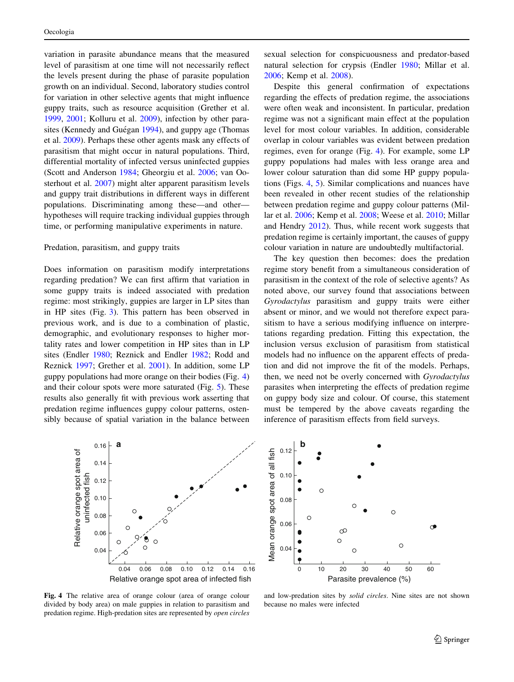variation in parasite abundance means that the measured level of parasitism at one time will not necessarily reflect the levels present during the phase of parasite population growth on an individual. Second, laboratory studies control for variation in other selective agents that might influence guppy traits, such as resource acquisition (Grether et al. [1999,](#page-10-0) [2001](#page-10-0); Kolluru et al. [2009](#page-10-0)), infection by other para-sites (Kennedy and Guégan [1994](#page-10-0)), and guppy age (Thomas et al. [2009](#page-11-0)). Perhaps these other agents mask any effects of parasitism that might occur in natural populations. Third, differential mortality of infected versus uninfected guppies (Scott and Anderson [1984](#page-11-0); Gheorgiu et al. [2006;](#page-10-0) van Oosterhout et al. [2007\)](#page-11-0) might alter apparent parasitism levels and guppy trait distributions in different ways in different populations. Discriminating among these—and other hypotheses will require tracking individual guppies through time, or performing manipulative experiments in nature.

### Predation, parasitism, and guppy traits

Does information on parasitism modify interpretations regarding predation? We can first affirm that variation in some guppy traits is indeed associated with predation regime: most strikingly, guppies are larger in LP sites than in HP sites (Fig. [3\)](#page-6-0). This pattern has been observed in previous work, and is due to a combination of plastic, demographic, and evolutionary responses to higher mortality rates and lower competition in HP sites than in LP sites (Endler [1980](#page-10-0); Reznick and Endler [1982;](#page-10-0) Rodd and Reznick [1997](#page-11-0); Grether et al. [2001](#page-10-0)). In addition, some LP guppy populations had more orange on their bodies (Fig. 4) and their colour spots were more saturated (Fig. [5](#page-9-0)). These results also generally fit with previous work asserting that predation regime influences guppy colour patterns, ostensibly because of spatial variation in the balance between sexual selection for conspicuousness and predator-based natural selection for crypsis (Endler [1980](#page-10-0); Millar et al. [2006](#page-10-0); Kemp et al. [2008\)](#page-10-0).

Despite this general confirmation of expectations regarding the effects of predation regime, the associations were often weak and inconsistent. In particular, predation regime was not a significant main effect at the population level for most colour variables. In addition, considerable overlap in colour variables was evident between predation regimes, even for orange (Fig. 4). For example, some LP guppy populations had males with less orange area and lower colour saturation than did some HP guppy populations (Figs. 4, [5\)](#page-9-0). Similar complications and nuances have been revealed in other recent studies of the relationship between predation regime and guppy colour patterns (Millar et al. [2006;](#page-10-0) Kemp et al. [2008;](#page-10-0) Weese et al. [2010;](#page-11-0) Millar and Hendry [2012\)](#page-10-0). Thus, while recent work suggests that predation regime is certainly important, the causes of guppy colour variation in nature are undoubtedly multifactorial.

The key question then becomes: does the predation regime story benefit from a simultaneous consideration of parasitism in the context of the role of selective agents? As noted above, our survey found that associations between Gyrodactylus parasitism and guppy traits were either absent or minor, and we would not therefore expect parasitism to have a serious modifying influence on interpretations regarding predation. Fitting this expectation, the inclusion versus exclusion of parasitism from statistical models had no influence on the apparent effects of predation and did not improve the fit of the models. Perhaps, then, we need not be overly concerned with Gyrodactylus parasites when interpreting the effects of predation regime on guppy body size and colour. Of course, this statement must be tempered by the above caveats regarding the inference of parasitism effects from field surveys.





Fig. 4 The relative area of orange colour (area of orange colour divided by body area) on male guppies in relation to parasitism and predation regime. High-predation sites are represented by open circles

and low-predation sites by solid circles. Nine sites are not shown because no males were infected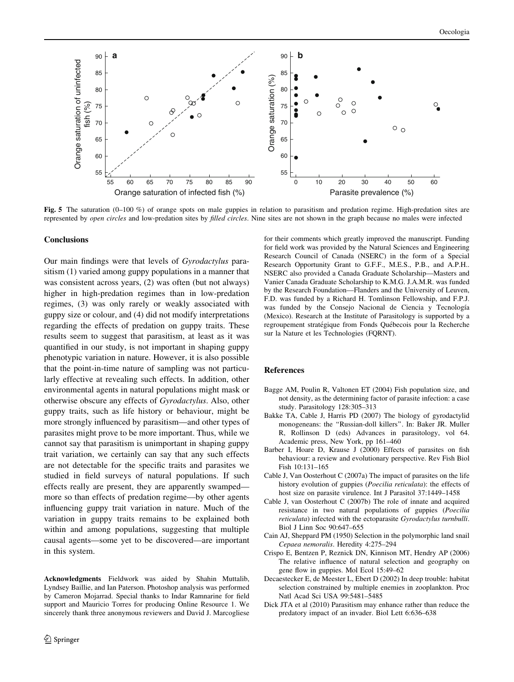<span id="page-9-0"></span>

Fig. 5 The saturation  $(0-100\%)$  of orange spots on male guppies in relation to parasitism and predation regime. High-predation sites are represented by open circles and low-predation sites by filled circles. Nine sites are not shown in the graph because no males were infected

## **Conclusions**

Our main findings were that levels of Gyrodactylus parasitism (1) varied among guppy populations in a manner that was consistent across years, (2) was often (but not always) higher in high-predation regimes than in low-predation regimes, (3) was only rarely or weakly associated with guppy size or colour, and (4) did not modify interpretations regarding the effects of predation on guppy traits. These results seem to suggest that parasitism, at least as it was quantified in our study, is not important in shaping guppy phenotypic variation in nature. However, it is also possible that the point-in-time nature of sampling was not particularly effective at revealing such effects. In addition, other environmental agents in natural populations might mask or otherwise obscure any effects of Gyrodactylus. Also, other guppy traits, such as life history or behaviour, might be more strongly influenced by parasitism—and other types of parasites might prove to be more important. Thus, while we cannot say that parasitism is unimportant in shaping guppy trait variation, we certainly can say that any such effects are not detectable for the specific traits and parasites we studied in field surveys of natural populations. If such effects really are present, they are apparently swamped more so than effects of predation regime—by other agents influencing guppy trait variation in nature. Much of the variation in guppy traits remains to be explained both within and among populations, suggesting that multiple causal agents—some yet to be discovered—are important in this system.

Acknowledgments Fieldwork was aided by Shahin Muttalib, Lyndsey Baillie, and Ian Paterson. Photoshop analysis was performed by Cameron Mojarrad. Special thanks to Indar Ramnarine for field support and Mauricio Torres for producing Online Resource 1. We sincerely thank three anonymous reviewers and David J. Marcogliese for their comments which greatly improved the manuscript. Funding for field work was provided by the Natural Sciences and Engineering Research Council of Canada (NSERC) in the form of a Special Research Opportunity Grant to G.F.F., M.E.S., P.B., and A.P.H.. NSERC also provided a Canada Graduate Scholarship—Masters and Vanier Canada Graduate Scholarship to K.M.G. J.A.M.R. was funded by the Research Foundation—Flanders and the University of Leuven, F.D. was funded by a Richard H. Tomlinson Fellowship, and F.P.J. was funded by the Consejo Nacional de Ciencia y Tecnología (Mexico). Research at the Institute of Parasitology is supported by a regroupement stratégique from Fonds Québecois pour la Recherche sur la Nature et les Technologies (FQRNT).

## References

- Bagge AM, Poulin R, Valtonen ET (2004) Fish population size, and not density, as the determining factor of parasite infection: a case study. Parasitology 128:305–313
- Bakke TA, Cable J, Harris PD (2007) The biology of gyrodactylid monogeneans: the ''Russian-doll killers''. In: Baker JR. Muller R, Rollinson D (eds) Advances in parasitology, vol 64. Academic press, New York, pp 161–460
- Barber I, Hoare D, Krause J (2000) Effects of parasites on fish behaviour: a review and evolutionary perspective. Rev Fish Biol Fish 10:131–165
- Cable J, Van Oosterhout C (2007a) The impact of parasites on the life history evolution of guppies (Poecilia reticulata): the effects of host size on parasite virulence. Int J Parasitol 37:1449–1458
- Cable J, van Oosterhout C (2007b) The role of innate and acquired resistance in two natural populations of guppies (Poecilia reticulata) infected with the ectoparasite Gyrodactylus turnbulli. Biol J Linn Soc 90:647–655
- Cain AJ, Sheppard PM (1950) Selection in the polymorphic land snail Cepaea nemoralis. Heredity 4:275–294
- Crispo E, Bentzen P, Reznick DN, Kinnison MT, Hendry AP (2006) The relative influence of natural selection and geography on gene flow in guppies. Mol Ecol 15:49–62
- Decaestecker E, de Meester L, Ebert D (2002) In deep trouble: habitat selection constrained by multiple enemies in zooplankton. Proc Natl Acad Sci USA 99:5481–5485
- Dick JTA et al (2010) Parasitism may enhance rather than reduce the predatory impact of an invader. Biol Lett 6:636–638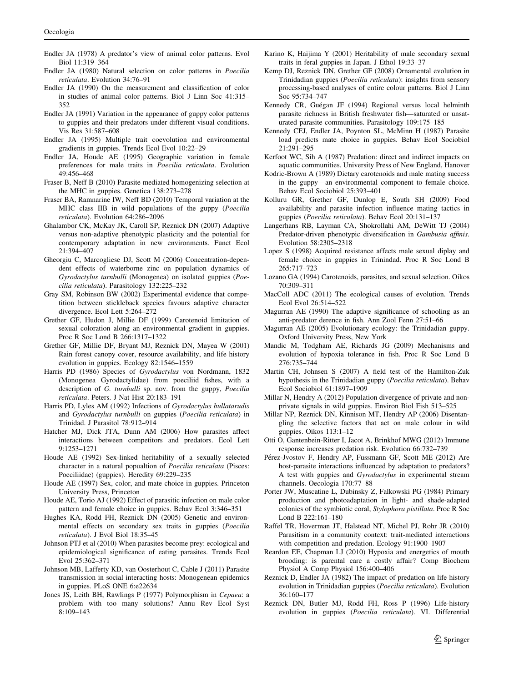- <span id="page-10-0"></span>Endler JA (1978) A predator's view of animal color patterns. Evol Biol 11:319–364
- Endler JA (1980) Natural selection on color patterns in Poecilia reticulata. Evolution 34:76–91
- Endler JA (1990) On the measurement and classification of color in studies of animal color patterns. Biol J Linn Soc 41:315– 352
- Endler JA (1991) Variation in the appearance of guppy color patterns to guppies and their predators under different visual conditions. Vis Res 31:587–608
- Endler JA (1995) Multiple trait coevolution and environmental gradients in guppies. Trends Ecol Evol 10:22–29
- Endler JA, Houde AE (1995) Geographic variation in female preferences for male traits in Poecilia reticulata. Evolution 49:456–468
- Fraser B, Neff B (2010) Parasite mediated homogenizing selection at the MHC in guppies. Genetica 138:273–278
- Fraser BA, Ramnarine IW, Neff BD (2010) Temporal variation at the MHC class IIB in wild populations of the guppy (Poecilia reticulata). Evolution 64:286–2096
- Ghalambor CK, McKay JK, Caroll SP, Reznick DN (2007) Adaptive versus non-adaptive phenotypic plasticity and the potential for contemporary adaptation in new environments. Funct Ecol 21:394–407
- Gheorgiu C, Marcogliese DJ, Scott M (2006) Concentration-dependent effects of waterborne zinc on population dynamics of Gyrodactylus turnbulli (Monogenea) on isolated guppies (Poecilia reticulata). Parasitology 132:225–232
- Gray SM, Robinson BW (2002) Experimental evidence that competition between stickleback species favours adaptive character divergence. Ecol Lett 5:264–272
- Grether GF, Hudon J, Millie DF (1999) Carotenoid limitation of sexual coloration along an environmental gradient in guppies. Proc R Soc Lond B 266:1317–1322
- Grether GF, Millie DF, Bryant MJ, Reznick DN, Mayea W (2001) Rain forest canopy cover, resource availability, and life history evolution in guppies. Ecology 82:1546–1559
- Harris PD (1986) Species of Gyrodactylus von Nordmann, 1832 (Monogenea Gyrodactylidae) from poeciliid fishes, with a description of G. turnbulli sp. nov. from the guppy, Poecilia reticulata. Peters. J Nat Hist 20:183–191
- Harris PD, Lyles AM (1992) Infections of Gyrodactylus bullatarudis and Gyrodactylus turnbulli on guppies (Poecilia reticulata) in Trinidad. J Parasitol 78:912–914
- Hatcher MJ, Dick JTA, Dunn AM (2006) How parasites affect interactions between competitors and predators. Ecol Lett 9:1253–1271
- Houde AE (1992) Sex-linked heritability of a sexually selected character in a natural popualtion of Poecilia reticulata (Pisces: Poeciliidae) (guppies). Heredity 69:229–235
- Houde AE (1997) Sex, color, and mate choice in guppies. Princeton University Press, Princeton
- Houde AE, Torio AJ (1992) Effect of parasitic infection on male color pattern and female choice in guppies. Behav Ecol 3:346–351
- Hughes KA, Rodd FH, Reznick DN (2005) Genetic and environmental effects on secondary sex traits in guppies (Poecilia reticulata). J Evol Biol 18:35–45
- Johnson PTJ et al (2010) When parasites become prey: ecological and epidemiological significance of eating parasites. Trends Ecol Evol 25:362–371
- Johnson MB, Lafferty KD, van Oosterhout C, Cable J (2011) Parasite transmission in social interacting hosts: Monogenean epidemics in guppies. PLoS ONE 6:e22634
- Jones JS, Leith BH, Rawlings P (1977) Polymorphism in Cepaea: a problem with too many solutions? Annu Rev Ecol Syst 8:109–143
- Karino K, Haijima Y (2001) Heritability of male secondary sexual traits in feral guppies in Japan. J Ethol 19:33–37
- Kemp DJ, Reznick DN, Grether GF (2008) Ornamental evolution in Trinidadian guppies (Poecilia reticulata): insights from sensory processing-based analyses of entire colour patterns. Biol J Linn Soc 95:734–747
- Kennedy CR, Guégan JF (1994) Regional versus local helminth parasite richness in British freshwater fish—saturated or unsaturated parasite communities. Parasitology 109:175–185
- Kennedy CEJ, Endler JA, Poynton SL, McMinn H (1987) Parasite load predicts mate choice in guppies. Behav Ecol Sociobiol 21:291–295
- Kerfoot WC, Sih A (1987) Predation: direct and indirect impacts on aquatic communities. University Press of New England, Hanover
- Kodric-Brown A (1989) Dietary carotenoids and male mating success in the guppy—an environmental component to female choice. Behav Ecol Sociobiol 25:393–401
- Kolluru GR, Grether GF, Dunlop E, South SH (2009) Food availability and parasite infection influence mating tactics in guppies (Poecilia reticulata). Behav Ecol 20:131–137
- Langerhans RB, Layman CA, Shokrollahi AM, DeWitt TJ (2004) Predator-driven phenotypic diversification in Gambusia affinis. Evolution 58:2305–2318
- Lopez S (1998) Acquired resistance affects male sexual diplay and female choice in guppies in Trinindad. Proc R Soc Lond B 265:717–723
- Lozano GA (1994) Carotenoids, parasites, and sexual selection. Oikos 70:309–311
- MacColl ADC (2011) The ecological causes of evolution. Trends Ecol Evol 26:514–522
- Magurran AE (1990) The adaptive significance of schooling as an anti-predator derence in fish. Ann Zool Fenn 27:51–66
- Magurran AE (2005) Evolutionary ecology: the Trinidadian guppy. Oxford University Press, New York
- Mandic M, Todgham AE, Richards JG (2009) Mechanisms and evolution of hypoxia tolerance in fish. Proc R Soc Lond B 276:735–744
- Martin CH, Johnsen S (2007) A field test of the Hamilton-Zuk hypothesis in the Trinidadian guppy (Poecilia reticulata). Behav Ecol Sociobiol 61:1897–1909
- Millar N, Hendry A (2012) Population divergence of private and nonprivate signals in wild guppies. Environ Biol Fish 513–525
- Millar NP, Reznick DN, Kinnison MT, Hendry AP (2006) Disentangling the selective factors that act on male colour in wild guppies. Oikos 113:1–12
- Otti O, Gantenbein-Ritter I, Jacot A, Brinkhof MWG (2012) Immune response increases predation risk. Evolution 66:732–739
- Pérez-Jvostov F, Hendry AP, Fussmann GF, Scott ME (2012) Are host-parasite interactions influenced by adaptation to predators? A test with guppies and Gyrodactylus in experimental stream channels. Oecologia 170:77–88
- Porter JW, Muscatine L, Dubinsky Z, Falkowski PG (1984) Primary production and photoadaptation in light- and shade-adapted colonies of the symbiotic coral, Stylophora pistillata. Proc R Soc Lond B 222:161–180
- Raffel TR, Hoverman JT, Halstead NT, Michel PJ, Rohr JR (2010) Parasitism in a community context: trait-mediated interactions with competition and predation. Ecology 91:1900–1907
- Reardon EE, Chapman LJ (2010) Hypoxia and energetics of mouth brooding: is parental care a costly affair? Comp Biochem Physiol A Comp Physiol 156:400–406
- Reznick D, Endler JA (1982) The impact of predation on life history evolution in Trinidadian guppies (Poecilia reticulata). Evolution 36:160–177
- Reznick DN, Butler MJ, Rodd FH, Ross P (1996) Life-history evolution in guppies (Poecilia reticulata). VI. Differential